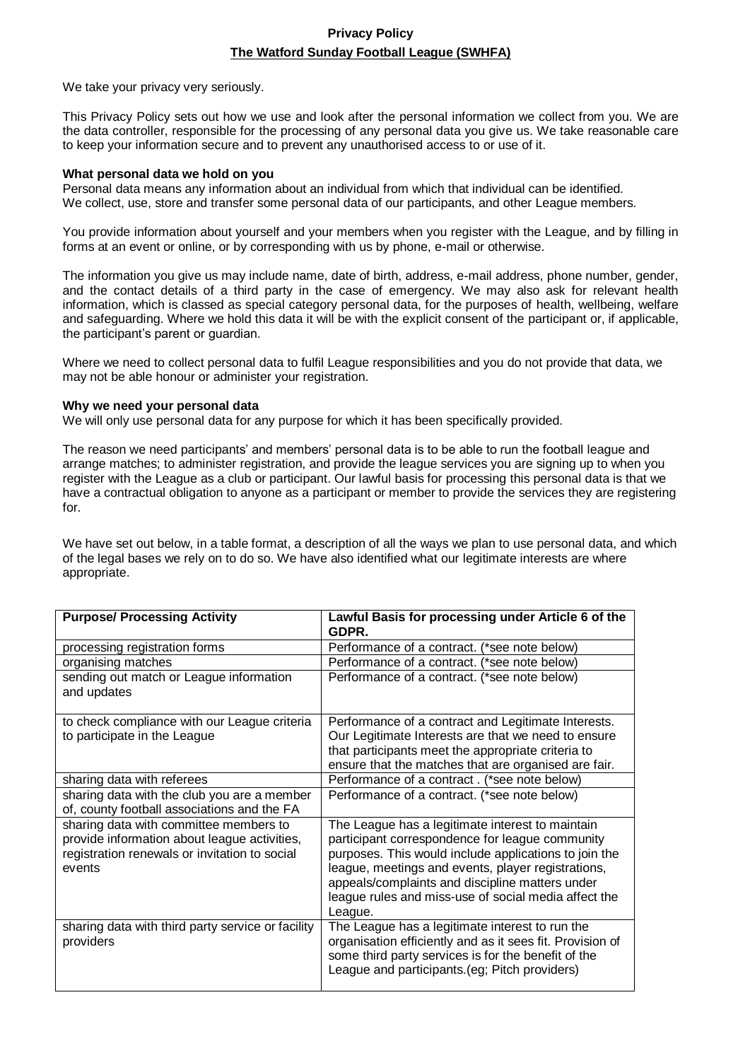# **Privacy Policy The Watford Sunday Football League (SWHFA)**

We take your privacy very seriously.

This Privacy Policy sets out how we use and look after the personal information we collect from you. We are the data controller, responsible for the processing of any personal data you give us. We take reasonable care to keep your information secure and to prevent any unauthorised access to or use of it.

## **What personal data we hold on you**

Personal data means any information about an individual from which that individual can be identified. We collect, use, store and transfer some personal data of our participants, and other League members.

You provide information about yourself and your members when you register with the League, and by filling in forms at an event or online, or by corresponding with us by phone, e-mail or otherwise.

The information you give us may include name, date of birth, address, e-mail address, phone number, gender, and the contact details of a third party in the case of emergency. We may also ask for relevant health information, which is classed as special category personal data, for the purposes of health, wellbeing, welfare and safeguarding. Where we hold this data it will be with the explicit consent of the participant or, if applicable, the participant's parent or guardian.

Where we need to collect personal data to fulfil League responsibilities and you do not provide that data, we may not be able honour or administer your registration.

## **Why we need your personal data**

We will only use personal data for any purpose for which it has been specifically provided.

The reason we need participants' and members' personal data is to be able to run the football league and arrange matches; to administer registration, and provide the league services you are signing up to when you register with the League as a club or participant. Our lawful basis for processing this personal data is that we have a contractual obligation to anyone as a participant or member to provide the services they are registering for.

We have set out below, in a table format, a description of all the ways we plan to use personal data, and which of the legal bases we rely on to do so. We have also identified what our legitimate interests are where appropriate.

| <b>Purpose/ Processing Activity</b>                                                                                                               | Lawful Basis for processing under Article 6 of the<br>GDPR.                                                                                                                                                                                                                                                                              |
|---------------------------------------------------------------------------------------------------------------------------------------------------|------------------------------------------------------------------------------------------------------------------------------------------------------------------------------------------------------------------------------------------------------------------------------------------------------------------------------------------|
| processing registration forms                                                                                                                     | Performance of a contract. (*see note below)                                                                                                                                                                                                                                                                                             |
| organising matches                                                                                                                                | Performance of a contract. (*see note below)                                                                                                                                                                                                                                                                                             |
| sending out match or League information<br>and updates                                                                                            | Performance of a contract. (*see note below)                                                                                                                                                                                                                                                                                             |
| to check compliance with our League criteria<br>to participate in the League                                                                      | Performance of a contract and Legitimate Interests.<br>Our Legitimate Interests are that we need to ensure<br>that participants meet the appropriate criteria to<br>ensure that the matches that are organised are fair.                                                                                                                 |
| sharing data with referees                                                                                                                        | Performance of a contract. (*see note below)                                                                                                                                                                                                                                                                                             |
| sharing data with the club you are a member<br>of, county football associations and the FA                                                        | Performance of a contract. (*see note below)                                                                                                                                                                                                                                                                                             |
| sharing data with committee members to<br>provide information about league activities,<br>registration renewals or invitation to social<br>events | The League has a legitimate interest to maintain<br>participant correspondence for league community<br>purposes. This would include applications to join the<br>league, meetings and events, player registrations,<br>appeals/complaints and discipline matters under<br>league rules and miss-use of social media affect the<br>League. |
| sharing data with third party service or facility<br>providers                                                                                    | The League has a legitimate interest to run the<br>organisation efficiently and as it sees fit. Provision of<br>some third party services is for the benefit of the<br>League and participants. (eg; Pitch providers)                                                                                                                    |